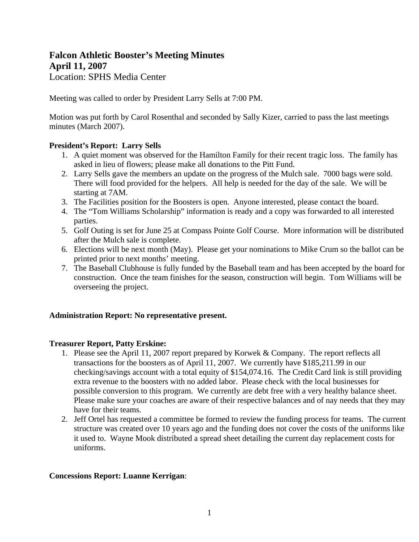# **Falcon Athletic Booster's Meeting Minutes April 11, 2007**  Location: SPHS Media Center

Meeting was called to order by President Larry Sells at 7:00 PM.

Motion was put forth by Carol Rosenthal and seconded by Sally Kizer, carried to pass the last meetings minutes (March 2007).

### **President's Report: Larry Sells**

- 1. A quiet moment was observed for the Hamilton Family for their recent tragic loss. The family has asked in lieu of flowers; please make all donations to the Pitt Fund.
- 2. Larry Sells gave the members an update on the progress of the Mulch sale. 7000 bags were sold. There will food provided for the helpers. All help is needed for the day of the sale. We will be starting at 7AM.
- 3. The Facilities position for the Boosters is open. Anyone interested, please contact the board.
- 4. The "Tom Williams Scholarship" information is ready and a copy was forwarded to all interested parties.
- 5. Golf Outing is set for June 25 at Compass Pointe Golf Course. More information will be distributed after the Mulch sale is complete.
- 6. Elections will be next month (May). Please get your nominations to Mike Crum so the ballot can be printed prior to next months' meeting.
- 7. The Baseball Clubhouse is fully funded by the Baseball team and has been accepted by the board for construction. Once the team finishes for the season, construction will begin. Tom Williams will be overseeing the project.

### **Administration Report: No representative present.**

### **Treasurer Report, Patty Erskine:**

- 1. Please see the April 11, 2007 report prepared by Korwek & Company. The report reflects all transactions for the boosters as of April 11, 2007. We currently have \$185,211.99 in our checking/savings account with a total equity of \$154,074.16. The Credit Card link is still providing extra revenue to the boosters with no added labor. Please check with the local businesses for possible conversion to this program. We currently are debt free with a very healthy balance sheet. Please make sure your coaches are aware of their respective balances and of nay needs that they may have for their teams.
- 2. Jeff Ortel has requested a committee be formed to review the funding process for teams. The current structure was created over 10 years ago and the funding does not cover the costs of the uniforms like it used to. Wayne Mook distributed a spread sheet detailing the current day replacement costs for uniforms.

### **Concessions Report: Luanne Kerrigan**: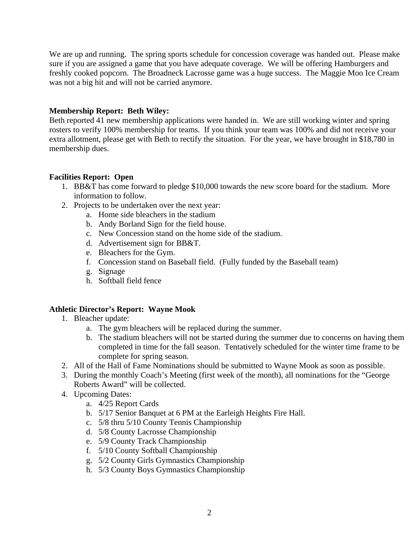We are up and running. The spring sports schedule for concession coverage was handed out. Please make sure if you are assigned a game that you have adequate coverage. We will be offering Hamburgers and freshly cooked popcorn. The Broadneck Lacrosse game was a huge success. The Maggie Moo Ice Cream was not a big hit and will not be carried anymore.

### **Membership Report: Beth Wiley:**

Beth reported 41 new membership applications were handed in. We are still working winter and spring rosters to verify 100% membership for teams. If you think your team was 100% and did not receive your extra allotment, please get with Beth to rectify the situation. For the year, we have brought in \$18,780 in membership dues.

### **Facilities Report: Open**

- 1. BB&T has come forward to pledge \$10,000 towards the new score board for the stadium. More information to follow.
- 2. Projects to be undertaken over the next year:
	- a. Home side bleachers in the stadium
	- b. Andy Borland Sign for the field house.
	- c. New Concession stand on the home side of the stadium.
	- d. Advertisement sign for BB&T.
	- e. Bleachers for the Gym.
	- f. Concession stand on Baseball field. (Fully funded by the Baseball team)
	- g. Signage
	- h. Softball field fence

### **Athletic Director's Report: Wayne Mook**

- 1. Bleacher update:
	- a. The gym bleachers will be replaced during the summer.
	- b. The stadium bleachers will not be started during the summer due to concerns on having them completed in time for the fall season. Tentatively scheduled for the winter time frame to be complete for spring season.
- 2. All of the Hall of Fame Nominations should be submitted to Wayne Mook as soon as possible.
- 3. During the monthly Coach's Meeting (first week of the month), all nominations for the "George Roberts Award" will be collected.
- 4. Upcoming Dates:
	- a. 4/25 Report Cards
	- b. 5/17 Senior Banquet at 6 PM at the Earleigh Heights Fire Hall.
	- c. 5/8 thru 5/10 County Tennis Championship
	- d. 5/8 County Lacrosse Championship
	- e. 5/9 County Track Championship
	- f. 5/10 County Softball Championship
	- g. 5/2 County Girls Gymnastics Championship
	- h. 5/3 County Boys Gymnastics Championship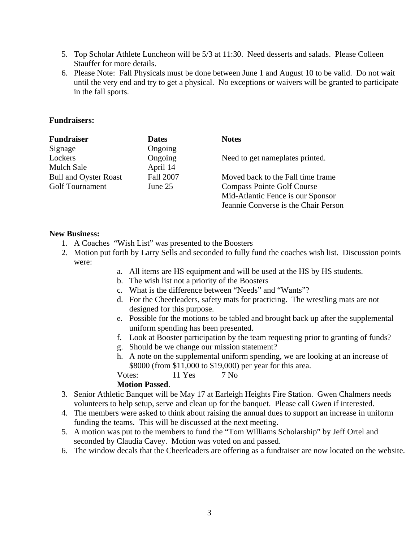- 5. Top Scholar Athlete Luncheon will be 5/3 at 11:30. Need desserts and salads. Please Colleen Stauffer for more details.
- 6. Please Note: Fall Physicals must be done between June 1 and August 10 to be valid. Do not wait until the very end and try to get a physical. No exceptions or waivers will be granted to participate in the fall sports.

### **Fundraisers:**

| <b>Fundraiser</b>            | <b>Dates</b>     | <b>Notes</b>                         |
|------------------------------|------------------|--------------------------------------|
| Signage                      | Ongoing          |                                      |
| Lockers                      | Ongoing          | Need to get nameplates printed.      |
| <b>Mulch Sale</b>            | April 14         |                                      |
| <b>Bull and Oyster Roast</b> | <b>Fall 2007</b> | Moved back to the Fall time frame    |
| <b>Golf Tournament</b>       | June 25          | <b>Compass Pointe Golf Course</b>    |
|                              |                  | Mid-Atlantic Fence is our Sponsor    |
|                              |                  | Jeannie Converse is the Chair Person |

#### **New Business:**

- 1. A Coaches "Wish List" was presented to the Boosters
- 2. Motion put forth by Larry Sells and seconded to fully fund the coaches wish list. Discussion points were:
	- a. All items are HS equipment and will be used at the HS by HS students.
	- b. The wish list not a priority of the Boosters
	- c. What is the difference between "Needs" and "Wants"?
	- d. For the Cheerleaders, safety mats for practicing. The wrestling mats are not designed for this purpose.
	- e. Possible for the motions to be tabled and brought back up after the supplemental uniform spending has been presented.
	- f. Look at Booster participation by the team requesting prior to granting of funds?
	- g. Should be we change our mission statement?
	- h. A note on the supplemental uniform spending, we are looking at an increase of \$8000 (from \$11,000 to \$19,000) per year for this area.
	- Votes: 11 Yes 7 No

### **Motion Passed**.

- 3. Senior Athletic Banquet will be May 17 at Earleigh Heights Fire Station. Gwen Chalmers needs volunteers to help setup, serve and clean up for the banquet. Please call Gwen if interested.
- 4. The members were asked to think about raising the annual dues to support an increase in uniform funding the teams. This will be discussed at the next meeting.
- 5. A motion was put to the members to fund the "Tom Williams Scholarship" by Jeff Ortel and seconded by Claudia Cavey. Motion was voted on and passed.
- 6. The window decals that the Cheerleaders are offering as a fundraiser are now located on the website.